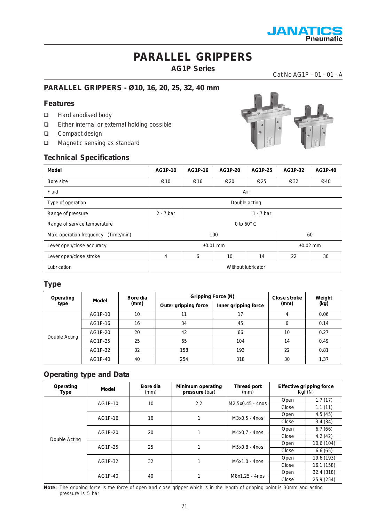

### **AG1P Series**

Cat No AG1P - 01 - 01 - A

### **PARALLEL GRIPPERS - Ø10, 16, 20, 25, 32, 40 mm**

#### **Features**

- □ Hard anodised body
- Either internal or external holding possible
- Compact design
- □ Magnetic sensing as standard

#### **Technical Specifications**



| <b>Model</b>                        | AG1P-10                    | AG1P-16 | AG1P-20          | AG1P-25 | AG1P-32 | AG1P-40 |
|-------------------------------------|----------------------------|---------|------------------|---------|---------|---------|
| Bore size                           | Ø10                        | Ø16     | $\varnothing$ 20 | Ø25     | Ø32     | Ø40     |
| Fluid                               | Air                        |         |                  |         |         |         |
| Type of operation                   | Double acting              |         |                  |         |         |         |
| Range of pressure                   | $1 - 7$ bar<br>$2 - 7$ bar |         |                  |         |         |         |
| Range of service temperature        | 0 to $60^\circ$ C          |         |                  |         |         |         |
| Max. operation frequency (Time/min) | 100<br>60                  |         |                  |         |         |         |
| Lever open/close accuracy           | $±0.01$ mm<br>$±0.02$ mm   |         |                  |         |         |         |
| Lever open/close stroke             | 4                          | 6       | 10               | 14      | 22      | 30      |
| Lubrication                         | Without lubricator         |         |                  |         |         |         |

#### **Type**

| Operating<br>Model | Bore dia | <b>Gripping Force (N)</b> | <b>Close stroke</b>  | Weight               |      |      |
|--------------------|----------|---------------------------|----------------------|----------------------|------|------|
| type               |          | (mm)                      | Outer gripping force | Inner gripping force | (mm) | (kg) |
|                    | AG1P-10  | 10                        | 11                   | 17                   | 4    | 0.06 |
|                    | AG1P-16  | 16                        | 34                   | 45                   | 6    | 0.14 |
| Double Acting      | AG1P-20  | 20                        | 42                   | 66                   | 10   | 0.27 |
|                    | AG1P-25  | 25                        | 65                   | 104                  | 14   | 0.49 |
|                    | AG1P-32  | 32                        | 158                  | 193                  | 22   | 0.81 |
|                    | AG1P-40  | 40                        | 254                  | 318                  | 30   | 1.37 |

#### **Operating type and Data**

| Operating<br>Type | Model   | Bore dia<br>(mm) | Minimum operating<br>pressure (bar) | Thread port<br>(mm) |            | <b>Effective gripping force</b><br>Kgf(N) |
|-------------------|---------|------------------|-------------------------------------|---------------------|------------|-------------------------------------------|
|                   | AG1P-10 | 10               | 2.2                                 | M2.5x0.45 - 4nos    | Open       | 1.7(17)                                   |
|                   |         |                  |                                     |                     | Close      | 1.1(11)                                   |
|                   | AG1P-16 | 16               |                                     | $M3x0.5 - 4n$ os    | Open       | 4.5(45)                                   |
|                   |         |                  |                                     |                     | Close      | 3.4(34)                                   |
|                   | AG1P-20 | 20               |                                     | $M4x0.7 - 4n$ os    | Open       | 6.7(66)                                   |
| Double Acting     |         |                  |                                     |                     | Close      | 4.2(42)                                   |
|                   | AG1P-25 | 25               |                                     | M5x0.8 - 4nos       | Open       | 10.6 (104)                                |
|                   |         |                  |                                     |                     | Close      | 6.6(65)                                   |
|                   | AG1P-32 | 32               |                                     | $M6x1.0 - 4n$ os    | Open       | 19.6 (193)                                |
|                   |         |                  |                                     | Close               | 16.1 (158) |                                           |
|                   |         |                  |                                     | Open                | 32.4 (318) |                                           |
| AG1P-40<br>40     |         | M8x1.25 - 4nos   | Close                               | 25.9 (254)          |            |                                           |

**Note:** The gripping force is the force of open and close gripper which is in the length of gripping point is 30mm and acting pressure is 5 bar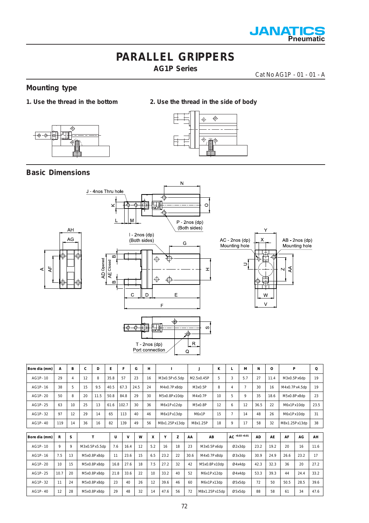

**AG1P Series**

Cat No AG1P - 01 - 01 - A

#### **Mounting type**

- **1. Use the thread in the bottom 2. Use the thread in the side of body**
	- $\triangle$ ∔⊕-ჶ



#### **Basic Dimensions**

⋖



AG1P- 32 11 24 M5x0.8Px8dp 23 40 26 12 39.6 46 60 M6x1Px13dp Ø5x5dp 72 50 50.5 28.5 39.6 AG1P- 40 12 28 M5x0.8Px8dp 29 48 32 14 47.6 56 72 M8x1.25Px15dp Ø5x5dp 88 58 61 34 47.6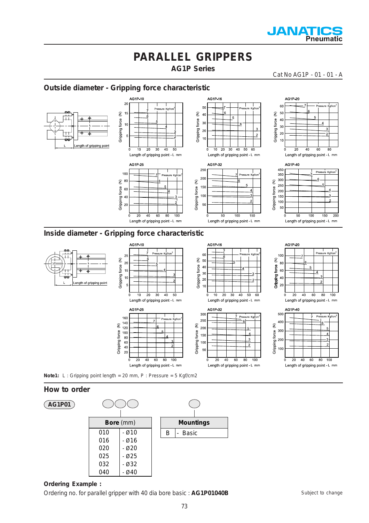

**AG1P Series**

Cat No AG1P - 01 - 01 - A

 $\overline{20}$ 

500

 $40<sub>1</sub>$ 

 $30<sup>0</sup>$ Gripping force

 $200$ 

 $10<sub>1</sub>$ 

 $\Omega$ 

Ê

 $\overline{20}$  $\frac{1}{40}$  $\overline{60}$ 80  $\frac{1}{100}$ 

AG1P-40

 $\overline{20}$  $40$ 60  $\overline{80}$  $100$ 

Length of gripping point - L mm

Length of gripping point - L mm

sure

#### **Outside diameter - Gripping force characteristic**



 $10$ 

 $30<sup>0</sup>$ 

 $250$ 

 $20($ force

150

 $50$ 

 $\overline{0}$  $\overline{20}$  $40$  $60$  $80$  $100$ 

ξ

Gripping  $10<sub>C</sub>$   $\overline{10}$ 20  $\frac{1}{30}$ 40 50 60

AG1P-32

Length of gripping point - L mm

Length of gripping point - L mm

Pressure Kgf/

-S

 $\overline{2}$ 

**Note1:** L : Gripping point length = 20 mm, P : Pressure = 5 Kgf/cm2

Gripping force (N)

ŗ.

160  $\frac{100}{140}$ 

100

 $\begin{array}{c} 80 \\ 60 \end{array}$ 

 $40$ 

 $\overline{2}$ 

 $10$  $\frac{1}{20}$ 

AG1P-25

 $\frac{1}{30}$ 

Length of gripping point - L mm

 $\overline{40}$  $60$  $80$ 

Length of gripping point - L mm

 $\overline{40}$  $\frac{1}{50}$ 

 $100$ 

#### **How to order**



#### **Ordering Example :**

Ordering no. for parallel gripper with 40 dia bore basic : **AG1P01040B**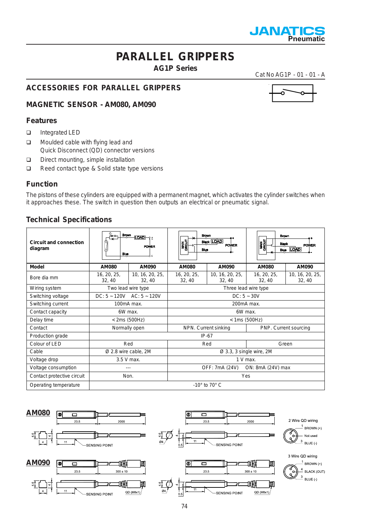

**AG1P Series**

Cat No AG1P - 01 - 01 - A

### **ACCESSORIES FOR PARALLEL GRIPPERS**

**MAGNETIC SENSOR - AM080, AM090**

#### **Features**

- □ Integrated LED
- **D** Moulded cable with flying lead and Quick Disconnect (QD) connector versions
- Direct mounting, simple installation
- Reed contact type & Solid state type versions

#### **Function**

The pistons of these cylinders are equipped with a permanent magnet, which activates the cylinder switches when it approaches these. The switch in question then outputs an electrical or pneumatic signal.

#### **Technical Specifications**

| <b>Circuit and connection</b><br>diagram | $\frac{Brown}{10AD}$ $\rightarrow$<br><del>ो।</del> ₩π<br>(9)<br><b>POWER</b><br>Q<br><b>Blue</b><br>んぷ |                           | <b>Brown</b><br><b>HANG</b><br><b>Black LOAD</b><br><b>POWER</b><br>Blue |                          | <b>Brown</b><br>$\frac{1}{2}$<br><b>Black</b><br><b>POWER</b><br><b>Blue</b> LOAD |                           |  |
|------------------------------------------|---------------------------------------------------------------------------------------------------------|---------------------------|--------------------------------------------------------------------------|--------------------------|-----------------------------------------------------------------------------------|---------------------------|--|
| <b>Model</b>                             | <b>AM080</b>                                                                                            | <b>AM090</b>              | <b>AM080</b>                                                             | <b>AM090</b>             | <b>AM080</b>                                                                      | <b>AM090</b>              |  |
| Bore dia mm                              | 16, 20, 25,<br>32, 40                                                                                   | 10, 16, 20, 25,<br>32, 40 | 16, 20, 25,<br>32, 40                                                    | 10, 16, 20, 25,<br>32.40 | 16, 20, 25,<br>32, 40                                                             | 10, 16, 20, 25,<br>32, 40 |  |
| Wiring system                            |                                                                                                         | Two lead wire type        |                                                                          | Three lead wire type     |                                                                                   |                           |  |
| Switching voltage                        | DC: $5 \sim 120V$ AC: $5 \sim 120V$                                                                     |                           | $DC: 5 - 30V$                                                            |                          |                                                                                   |                           |  |
| Switching current                        | 100mA max.                                                                                              |                           | 200mA max.                                                               |                          |                                                                                   |                           |  |
| Contact capacity                         | 6W max.                                                                                                 |                           | 6W max.                                                                  |                          |                                                                                   |                           |  |
| Delay time                               | $<$ 2ms (500Hz)                                                                                         |                           | $<$ 1ms (500Hz)                                                          |                          |                                                                                   |                           |  |
| Contact                                  | Normally open                                                                                           |                           | NPN. Current sinking                                                     |                          | PNP. Current sourcing                                                             |                           |  |
| Production grade                         |                                                                                                         |                           | $IP-67$                                                                  |                          |                                                                                   |                           |  |
| Colour of LED                            | Red                                                                                                     |                           | Red                                                                      |                          | Green                                                                             |                           |  |
| Cable                                    | Ø 2.8 wire cable, 2M                                                                                    |                           | $\varnothing$ 3.3, 3 single wire, 2M                                     |                          |                                                                                   |                           |  |
| Voltage drop                             | 3.5 V max.                                                                                              |                           | $1 V$ max.                                                               |                          |                                                                                   |                           |  |
| Voltage consumption                      |                                                                                                         |                           | ON: 8mA (24V) max<br>OFF: 7mA (24V)                                      |                          |                                                                                   |                           |  |
| Contact protective circuit               | Non.                                                                                                    |                           | Yes                                                                      |                          |                                                                                   |                           |  |
| Operating temperature                    |                                                                                                         |                           | $-10^\circ$ to 70 $^\circ$ C                                             |                          |                                                                                   |                           |  |